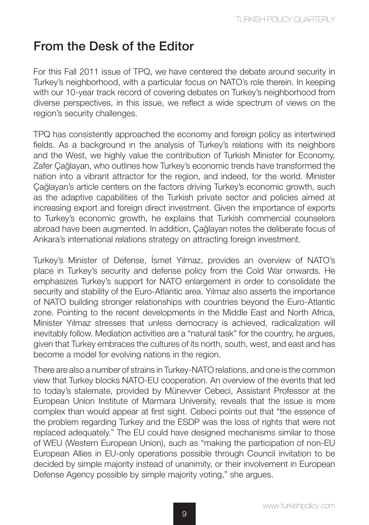## From the Desk of the Editor

For this Fall 2011 issue of TPQ, we have centered the debate around security in Turkey's neighborhood, with a particular focus on NATO's role therein. In keeping with our 10-year track record of covering debates on Turkey's neighborhood from diverse perspectives, in this issue, we reflect a wide spectrum of views on the region's security challenges.

TPQ has consistently approached the economy and foreign policy as intertwined fields. As a background in the analysis of Turkey's relations with its neighbors and the West, we highly value the contribution of Turkish Minister for Economy, Zafer Çağlayan, who outlines how Turkey's economic trends have transformed the nation into a vibrant attractor for the region, and indeed, for the world. Minister Çağlayan's article centers on the factors driving Turkey's economic growth, such as the adaptive capabilities of the Turkish private sector and policies aimed at increasing export and foreign direct investment. Given the importance of exports to Turkey's economic growth, he explains that Turkish commercial counselors abroad have been augmented. In addition, Çağlayan notes the deliberate focus of Ankara's international relations strategy on attracting foreign investment.

Turkey's Minister of Defense, İsmet Yılmaz, provides an overview of NATO's place in Turkey's security and defense policy from the Cold War onwards. He emphasizes Turkey's support for NATO enlargement in order to consolidate the security and stability of the Euro-Atlantic area. Yılmaz also asserts the importance of NATO building stronger relationships with countries beyond the Euro-Atlantic zone. Pointing to the recent developments in the Middle East and North Africa, Minister Yılmaz stresses that unless democracy is achieved, radicalization will inevitably follow. Mediation activities are a "natural task" for the country, he argues, given that Turkey embraces the cultures of its north, south, west, and east and has become a model for evolving nations in the region.

There are also a number of strains in Turkey-NATO relations, and one is the common view that Turkey blocks NATO-EU cooperation. An overview of the events that led to today's stalemate, provided by Münevver Cebeci, Assistant Professor at the European Union Institute of Marmara University, reveals that the issue is more complex than would appear at first sight. Cebeci points out that "the essence of the problem regarding Turkey and the ESDP was the loss of rights that were not replaced adequately." The EU could have designed mechanisms similar to those of WEU (Western European Union), such as "making the participation of non-EU European Allies in EU-only operations possible through Council invitation to be decided by simple majority instead of unanimity, or their involvement in European Defense Agency possible by simple majority voting," she argues.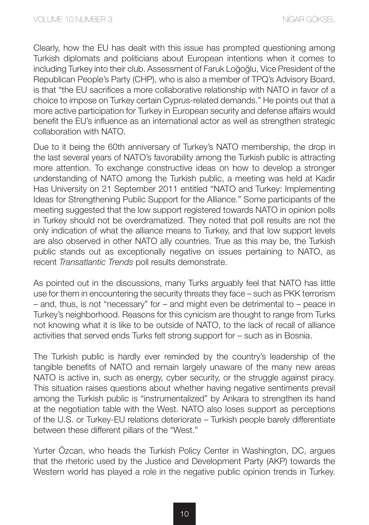Clearly, how the EU has dealt with this issue has prompted questioning among Turkish diplomats and politicians about European intentions when it comes to including Turkey into their club. Assessment of Faruk Loğoğlu, Vice President of the Republican People's Party (CHP), who is also a member of TPQ's Advisory Board, is that "the EU sacrifices a more collaborative relationship with NATO in favor of a choice to impose on Turkey certain Cyprus-related demands." He points out that a more active participation for Turkey in European security and defense affairs would benefit the EU's influence as an international actor as well as strengthen strategic collaboration with NATO.

Due to it being the 60th anniversary of Turkey's NATO membership, the drop in the last several years of NATO's favorability among the Turkish public is attracting more attention. To exchange constructive ideas on how to develop a stronger understanding of NATO among the Turkish public, a meeting was held at Kadir Has University on 21 September 2011 entitled "NATO and Turkey: Implementing Ideas for Strengthening Public Support for the Alliance." Some participants of the meeting suggested that the low support registered towards NATO in opinion polls in Turkey should not be overdramatized. They noted that poll results are not the only indication of what the alliance means to Turkey, and that low support levels are also observed in other NATO ally countries. True as this may be, the Turkish public stands out as exceptionally negative on issues pertaining to NATO, as recent *Transatlantic Trends* poll results demonstrate.

As pointed out in the discussions, many Turks arguably feel that NATO has little use for them in encountering the security threats they face – such as PKK terrorism – and, thus, is not "necessary" for – and might even be detrimental to – peace in Turkey's neighborhood. Reasons for this cynicism are thought to range from Turks not knowing what it is like to be outside of NATO, to the lack of recall of alliance activities that served ends Turks felt strong support for – such as in Bosnia.

The Turkish public is hardly ever reminded by the country's leadership of the tangible benefits of NATO and remain largely unaware of the many new areas NATO is active in, such as energy, cyber security, or the struggle against piracy. This situation raises questions about whether having negative sentiments prevail among the Turkish public is "instrumentalized" by Ankara to strengthen its hand at the negotiation table with the West. NATO also loses support as perceptions of the U.S. or Turkey-EU relations deteriorate – Turkish people barely differentiate between these different pillars of the "West."

Yurter Özcan, who heads the Turkish Policy Center in Washington, DC, argues that the rhetoric used by the Justice and Development Party (AKP) towards the Western world has played a role in the negative public opinion trends in Turkey.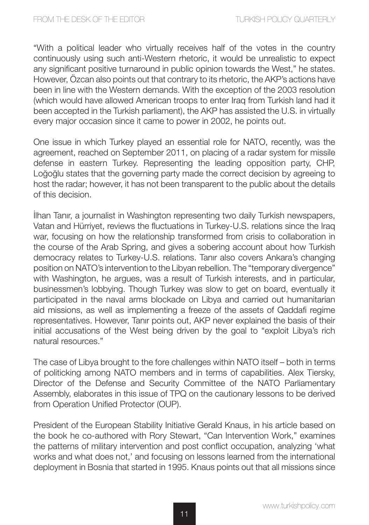"With a political leader who virtually receives half of the votes in the country continuously using such anti-Western rhetoric, it would be unrealistic to expect any significant positive turnaround in public opinion towards the West," he states. However, Özcan also points out that contrary to its rhetoric, the AKP's actions have been in line with the Western demands. With the exception of the 2003 resolution (which would have allowed American troops to enter Iraq from Turkish land had it been accepted in the Turkish parliament), the AKP has assisted the U.S. in virtually every major occasion since it came to power in 2002, he points out.

One issue in which Turkey played an essential role for NATO, recently, was the agreement, reached on September 2011, on placing of a radar system for missile defense in eastern Turkey. Representing the leading opposition party, CHP, Loğoğlu states that the governing party made the correct decision by agreeing to host the radar; however, it has not been transparent to the public about the details of this decision.

İlhan Tanır, a journalist in Washington representing two daily Turkish newspapers, Vatan and Hürriyet, reviews the fluctuations in Turkey-U.S. relations since the Iraq war, focusing on how the relationship transformed from crisis to collaboration in the course of the Arab Spring, and gives a sobering account about how Turkish democracy relates to Turkey-U.S. relations. Tanır also covers Ankara's changing position on NATO's intervention to the Libyan rebellion. The "temporary divergence" with Washington, he argues, was a result of Turkish interests, and in particular, businessmen's lobbying. Though Turkey was slow to get on board, eventually it participated in the naval arms blockade on Libya and carried out humanitarian aid missions, as well as implementing a freeze of the assets of Qaddafi regime representatives. However, Tanır points out, AKP never explained the basis of their initial accusations of the West being driven by the goal to "exploit Libya's rich natural resources."

The case of Libya brought to the fore challenges within NATO itself – both in terms of politicking among NATO members and in terms of capabilities. Alex Tiersky, Director of the Defense and Security Committee of the NATO Parliamentary Assembly, elaborates in this issue of TPQ on the cautionary lessons to be derived from Operation Unified Protector (OUP).

President of the European Stability Initiative Gerald Knaus, in his article based on the book he co-authored with Rory Stewart, "Can Intervention Work," examines the patterns of military intervention and post conflict occupation, analyzing 'what works and what does not,' and focusing on lessons learned from the international deployment in Bosnia that started in 1995. Knaus points out that all missions since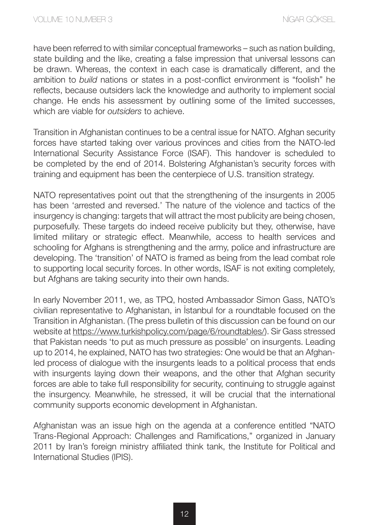have been referred to with similar conceptual frameworks – such as nation building, state building and the like, creating a false impression that universal lessons can be drawn. Whereas, the context in each case is dramatically different, and the ambition to *build* nations or states in a post-conflict environment is "foolish" he reflects, because outsiders lack the knowledge and authority to implement social change. He ends his assessment by outlining some of the limited successes, which are viable for *outsiders* to achieve.

Transition in Afghanistan continues to be a central issue for NATO. Afghan security forces have started taking over various provinces and cities from the NATO-led International Security Assistance Force (ISAF). This handover is scheduled to be completed by the end of 2014. Bolstering Afghanistan's security forces with training and equipment has been the centerpiece of U.S. transition strategy.

NATO representatives point out that the strengthening of the insurgents in 2005 has been 'arrested and reversed.' The nature of the violence and tactics of the insurgency is changing: targets that will attract the most publicity are being chosen, purposefully. These targets do indeed receive publicity but they, otherwise, have limited military or strategic effect. Meanwhile, access to health services and schooling for Afghans is strengthening and the army, police and infrastructure are developing. The 'transition' of NATO is framed as being from the lead combat role to supporting local security forces. In other words, ISAF is not exiting completely, but Afghans are taking security into their own hands.

In early November 2011, we, as TPQ, hosted Ambassador Simon Gass, NATO's civilian representative to Afghanistan, in İstanbul for a roundtable focused on the Transition in Afghanistan. (The press bulletin of this discussion can be found on our website at https://www.turkishpolicy.com/page/6/roundtables/). Sir Gass stressed that Pakistan needs 'to put as much pressure as possible' on insurgents. Leading up to 2014, he explained, NATO has two strategies: One would be that an Afghanled process of dialogue with the insurgents leads to a political process that ends with insurgents laying down their weapons, and the other that Afghan security forces are able to take full responsibility for security, continuing to struggle against the insurgency. Meanwhile, he stressed, it will be crucial that the international community supports economic development in Afghanistan.

Afghanistan was an issue high on the agenda at a conference entitled "NATO Trans-Regional Approach: Challenges and Ramifications," organized in January 2011 by Iran's foreign ministry affiliated think tank, the Institute for Political and International Studies (IPIS).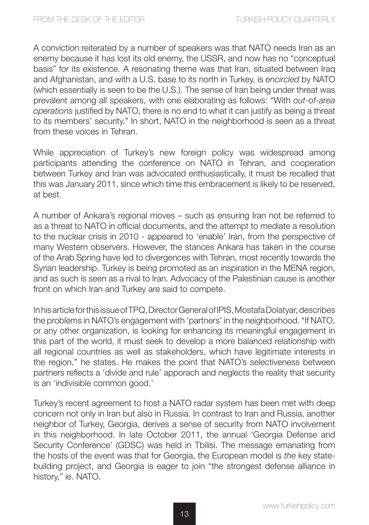A conviction reiterated by a number of speakers was that NATO needs Iran as an enemy because it has lost its old enemy, the USSR, and now has no "conceptual basis" for its existence. A resonating theme was that Iran, situated between Iraq and Afghanistan, and with a U.S. base to its north in Turkey, is *encircled* by NATO (which essentially is seen to be the U.S.). The sense of Iran being under threat was prevalent among all speakers, with one elaborating as follows: "With *out-of-area operations* justified by NATO, there is no end to what it can justify as being a threat to its members' security." In short, NATO in the neighborhood is seen as a threat from these voices in Tehran.

While appreciation of Turkey's new foreign policy was widespread among participants attending the conference on NATO in Tehran, and cooperation between Turkey and Iran was advocated enthusiastically, it must be recalled that this was January 2011, since which time this embracement is likely to be reserved, at best.

A number of Ankara's regional moves – such as ensuring Iran not be referred to as a threat to NATO in official documents, and the attempt to mediate a resolution to the nuclear crisis in 2010 - appeared to 'enable' Iran, from the perspective of many Western observers. However, the stances Ankara has taken in the course of the Arab Spring have led to divergences with Tehran, most recently towards the Syrian leadership. Turkey is being promoted as an inspiration in the MENA region, and as such is seen as a rival to Iran. Advocacy of the Palestinian cause is another front on which Iran and Turkey are said to compete.

In his article for this issue of TPQ, Director General of IPIS, Mostafa Dolatyar, describes the problems in NATO's engagement with 'partners' in the neighborhood. "If NATO, or any other organization, is looking for enhancing its meaningful engagement in this part of the world, it must seek to develop a more balanced relationship with all regional countries as well as stakeholders, which have legitimate interests in the region," he states. He makes the point that NATO's selectiveness between partners reflects a 'divide and rule' apporach and neglects the reality that security is an 'indivisible common good.'

Turkey's recent agreement to host a NATO radar system has been met with deep concern not only in Iran but also in Russia. In contrast to Iran and Russia, another neighbor of Turkey, Georgia, derives a sense of security from NATO involvement in this neighborhood. In late October 2011, the annual 'Georgia Defense and Security Conference' (GDSC) was held in Tbilisi. The message emanating from the hosts of the event was that for Georgia, the European model is *the* key statebuilding project, and Georgia is eager to join "the strongest defense alliance in history," ie. NATO.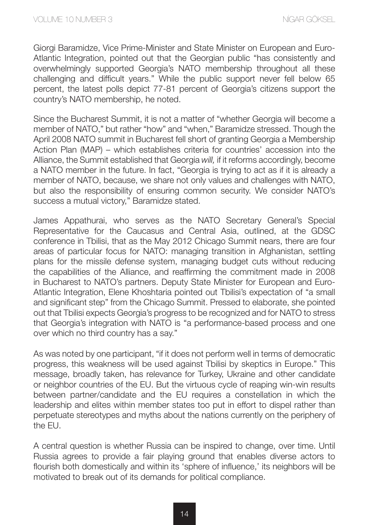Giorgi Baramidze, Vice Prime-Minister and State Minister on European and Euro-Atlantic Integration, pointed out that the Georgian public "has consistently and overwhelmingly supported Georgia's NATO membership throughout all these challenging and difficult years." While the public support never fell below 65 percent, the latest polls depict 77-81 percent of Georgia's citizens support the country's NATO membership, he noted.

Since the Bucharest Summit, it is not a matter of "whether Georgia will become a member of NATO," but rather "how" and "when," Baramidze stressed. Though the April 2008 NATO summit in Bucharest fell short of granting Georgia a Membership Action Plan (MAP) – which establishes criteria for countries' accession into the Alliance, the Summit established that Georgia *will,* if it reforms accordingly, become a NATO member in the future. In fact, "Georgia is trying to act as if it is already a member of NATO, because, we share not only values and challenges with NATO, but also the responsibility of ensuring common security. We consider NATO's success a mutual victory," Baramidze stated.

James Appathurai, who serves as the NATO Secretary General's Special Representative for the Caucasus and Central Asia, outlined, at the GDSC conference in Tbilisi, that as the May 2012 Chicago Summit nears, there are four areas of particular focus for NATO: managing transition in Afghanistan, settling plans for the missile defense system, managing budget cuts without reducing the capabilities of the Alliance, and reaffirming the commitment made in 2008 in Bucharest to NATO's partners. Deputy State Minister for European and Euro-Atlantic Integration, Elene Khoshtaria pointed out Tbilisi's expectation of "a small and significant step" from the Chicago Summit. Pressed to elaborate, she pointed out that Tbilisi expects Georgia's progress to be recognized and for NATO to stress that Georgia's integration with NATO is "a performance-based process and one over which no third country has a say."

As was noted by one participant, "if it does not perform well in terms of democratic progress, this weakness will be used against Tbilisi by skeptics in Europe." This message, broadly taken, has relevance for Turkey, Ukraine and other candidate or neighbor countries of the EU. But the virtuous cycle of reaping win-win results between partner/candidate and the EU requires a constellation in which the leadership and elites within member states too put in effort to dispel rather than perpetuate stereotypes and myths about the nations currently on the periphery of the EU.

A central question is whether Russia can be inspired to change, over time. Until Russia agrees to provide a fair playing ground that enables diverse actors to flourish both domestically and within its 'sphere of influence,' its neighbors will be motivated to break out of its demands for political compliance.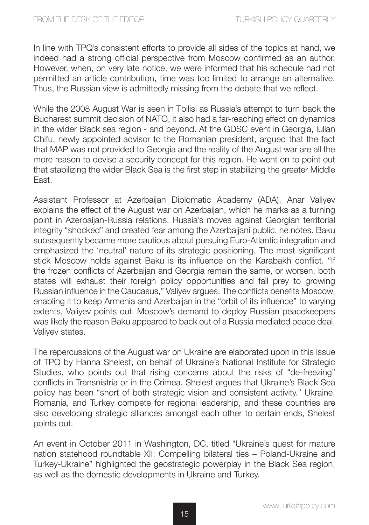In line with TPQ's consistent efforts to provide all sides of the topics at hand, we indeed had a strong official perspective from Moscow confirmed as an author. However, when, on very late notice, we were informed that his schedule had not permitted an article contribution, time was too limited to arrange an alternative. Thus, the Russian view is admittedly missing from the debate that we reflect.

While the 2008 August War is seen in Tbilisi as Russia's attempt to turn back the Bucharest summit decision of NATO, it also had a far-reaching effect on dynamics in the wider Black sea region - and beyond. At the GDSC event in Georgia, Iulian Chifu, newly appointed advisor to the Romanian president, argued that the fact that MAP was not provided to Georgia and the reality of the August war are all the more reason to devise a security concept for this region. He went on to point out that stabilizing the wider Black Sea is the first step in stabilizing the greater Middle East.

Assistant Professor at Azerbaijan Diplomatic Academy (ADA), Anar Valiyev explains the effect of the August war on Azerbaijan, which he marks as a turning point in Azerbaijan-Russia relations. Russia's moves against Georgian territorial integrity "shocked" and created fear among the Azerbaijani public, he notes. Baku subsequently became more cautious about pursuing Euro-Atlantic integration and emphasized the 'neutral' nature of its strategic positioning. The most significant stick Moscow holds against Baku is its influence on the Karabakh conflict. "If the frozen conflicts of Azerbaijan and Georgia remain the same, or worsen, both states will exhaust their foreign policy opportunities and fall prey to growing Russian influence in the Caucasus," Valiyev argues. The conflicts benefits Moscow, enabling it to keep Armenia and Azerbaijan in the "orbit of its influence" to varying extents, Valiyev points out. Moscow's demand to deploy Russian peacekeepers was likely the reason Baku appeared to back out of a Russia mediated peace deal, Valiyev states.

The repercussions of the August war on Ukraine are elaborated upon in this issue of TPQ by Hanna Shelest, on behalf of Ukraine's National Institute for Strategic Studies, who points out that rising concerns about the risks of "de-freezing" conflicts in Transnistria or in the Crimea. Shelest argues that Ukraine's Black Sea policy has been "short of both strategic vision and consistent activity." Ukraine, Romania, and Turkey compete for regional leadership, and these countries are also developing strategic alliances amongst each other to certain ends, Shelest points out.

An event in October 2011 in Washington, DC, titled "Ukraine's quest for mature nation statehood roundtable XII: Compelling bilateral ties – Poland-Ukraine and Turkey-Ukraine" highlighted the geostrategic powerplay in the Black Sea region, as well as the domestic developments in Ukraine and Turkey.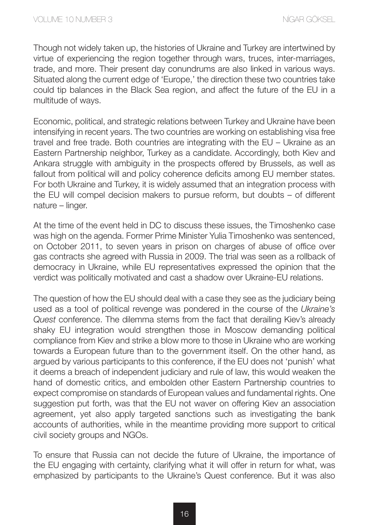Though not widely taken up, the histories of Ukraine and Turkey are intertwined by virtue of experiencing the region together through wars, truces, inter-marriages, trade, and more. Their present day conundrums are also linked in various ways. Situated along the current edge of 'Europe,' the direction these two countries take could tip balances in the Black Sea region, and affect the future of the EU in a multitude of ways.

Economic, political, and strategic relations between Turkey and Ukraine have been intensifying in recent years. The two countries are working on establishing visa free travel and free trade. Both countries are integrating with the EU – Ukraine as an Eastern Partnership neighbor, Turkey as a candidate. Accordingly, both Kiev and Ankara struggle with ambiguity in the prospects offered by Brussels, as well as fallout from political will and policy coherence deficits among EU member states. For both Ukraine and Turkey, it is widely assumed that an integration process with the EU will compel decision makers to pursue reform, but doubts – of different nature – linger.

At the time of the event held in DC to discuss these issues, the Timoshenko case was high on the agenda. Former Prime Minister Yulia Timoshenko was sentenced, on October 2011, to seven years in prison on charges of abuse of office over gas contracts she agreed with Russia in 2009. The trial was seen as a rollback of democracy in Ukraine, while EU representatives expressed the opinion that the verdict was politically motivated and cast a shadow over Ukraine-EU relations.

The question of how the EU should deal with a case they see as the judiciary being used as a tool of political revenge was pondered in the course of the *Ukraine's Quest* conference. The dilemma stems from the fact that derailing Kiev's already shaky EU integration would strengthen those in Moscow demanding political compliance from Kiev and strike a blow more to those in Ukraine who are working towards a European future than to the government itself. On the other hand, as argued by various participants to this conference, if the EU does not 'punish' what it deems a breach of independent judiciary and rule of law, this would weaken the hand of domestic critics, and embolden other Eastern Partnership countries to expect compromise on standards of European values and fundamental rights. One suggestion put forth, was that the EU not waver on offering Kiev an association agreement, yet also apply targeted sanctions such as investigating the bank accounts of authorities, while in the meantime providing more support to critical civil society groups and NGOs.

To ensure that Russia can not decide the future of Ukraine, the importance of the EU engaging with certainty, clarifying what it will offer in return for what, was emphasized by participants to the Ukraine's Quest conference. But it was also